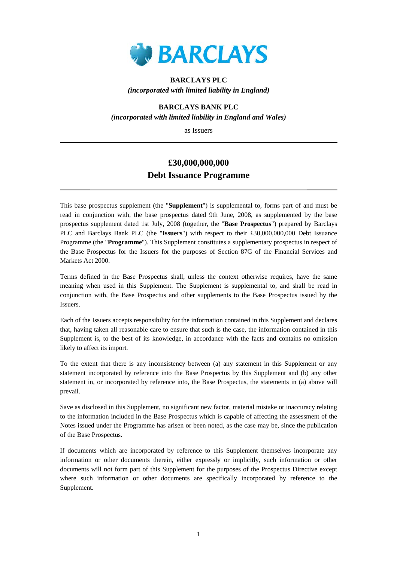

## **BARCLAYS PLC**  *(incorporated with limited liability in England)*

### **BARCLAYS BANK PLC**

*(incorporated with limited liability in England and Wales)*

as Issuers

# **£30,000,000,000 Debt Issuance Programme**

This base prospectus supplement (the "**Supplement**") is supplemental to, forms part of and must be read in conjunction with, the base prospectus dated 9th June, 2008, as supplemented by the base prospectus supplement dated 1st July, 2008 (together, the "**Base Prospectus**") prepared by Barclays PLC and Barclays Bank PLC (the "**Issuers**") with respect to their £30,000,000,000 Debt Issuance Programme (the "**Programme**"). This Supplement constitutes a supplementary prospectus in respect of the Base Prospectus for the Issuers for the purposes of Section 87G of the Financial Services and Markets Act 2000.

Terms defined in the Base Prospectus shall, unless the context otherwise requires, have the same meaning when used in this Supplement. The Supplement is supplemental to, and shall be read in conjunction with, the Base Prospectus and other supplements to the Base Prospectus issued by the Issuers.

Each of the Issuers accepts responsibility for the information contained in this Supplement and declares that, having taken all reasonable care to ensure that such is the case, the information contained in this Supplement is, to the best of its knowledge, in accordance with the facts and contains no omission likely to affect its import.

To the extent that there is any inconsistency between (a) any statement in this Supplement or any statement incorporated by reference into the Base Prospectus by this Supplement and (b) any other statement in, or incorporated by reference into, the Base Prospectus, the statements in (a) above will prevail.

Save as disclosed in this Supplement, no significant new factor, material mistake or inaccuracy relating to the information included in the Base Prospectus which is capable of affecting the assessment of the Notes issued under the Programme has arisen or been noted, as the case may be, since the publication of the Base Prospectus.

If documents which are incorporated by reference to this Supplement themselves incorporate any information or other documents therein, either expressly or implicitly, such information or other documents will not form part of this Supplement for the purposes of the Prospectus Directive except where such information or other documents are specifically incorporated by reference to the Supplement.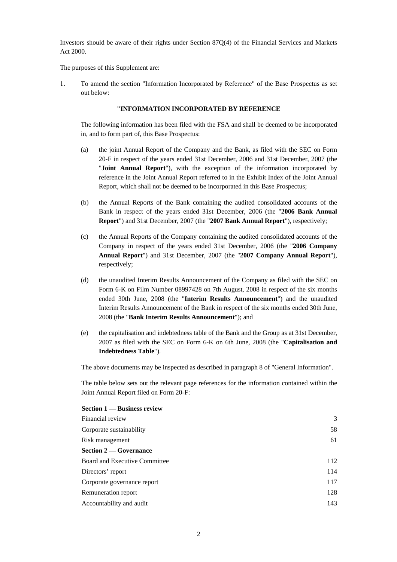Investors should be aware of their rights under Section 87Q(4) of the Financial Services and Markets Act 2000.

The purposes of this Supplement are:

1. To amend the section "Information Incorporated by Reference" of the Base Prospectus as set out below:

#### **"INFORMATION INCORPORATED BY REFERENCE**

The following information has been filed with the FSA and shall be deemed to be incorporated in, and to form part of, this Base Prospectus:

- (a) the joint Annual Report of the Company and the Bank, as filed with the SEC on Form 20-F in respect of the years ended 31st December, 2006 and 31st December, 2007 (the "**Joint Annual Report**"), with the exception of the information incorporated by reference in the Joint Annual Report referred to in the Exhibit Index of the Joint Annual Report, which shall not be deemed to be incorporated in this Base Prospectus;
- (b) the Annual Reports of the Bank containing the audited consolidated accounts of the Bank in respect of the years ended 31st December, 2006 (the "**2006 Bank Annual Report**") and 31st December, 2007 (the "**2007 Bank Annual Report**"), respectively;
- (c) the Annual Reports of the Company containing the audited consolidated accounts of the Company in respect of the years ended 31st December, 2006 (the "**2006 Company Annual Report**") and 31st December, 2007 (the "**2007 Company Annual Report**"), respectively;
- (d) the unaudited Interim Results Announcement of the Company as filed with the SEC on Form 6-K on Film Number 08997428 on 7th August, 2008 in respect of the six months ended 30th June, 2008 (the "**Interim Results Announcement**") and the unaudited Interim Results Announcement of the Bank in respect of the six months ended 30th June, 2008 (the "**Bank Interim Results Announcement**"); and
- (e) the capitalisation and indebtedness table of the Bank and the Group as at 31st December, 2007 as filed with the SEC on Form 6-K on 6th June, 2008 (the "**Capitalisation and Indebtedness Table**").

The above documents may be inspected as described in paragraph 8 of "General Information".

The table below sets out the relevant page references for the information contained within the Joint Annual Report filed on Form 20-F:

| Section 1 — Business review   |     |
|-------------------------------|-----|
| Financial review              | 3   |
| Corporate sustainability      | 58  |
| Risk management               | 61  |
| <b>Section 2 – Governance</b> |     |
| Board and Executive Committee | 112 |
| Directors' report             | 114 |
| Corporate governance report   | 117 |
| Remuneration report           | 128 |
| Accountability and audit      | 143 |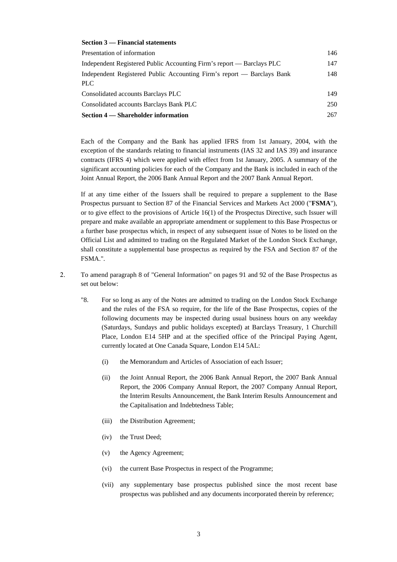### **Section 3 — Financial statements**

| Presentation of information                                                    | 146 |
|--------------------------------------------------------------------------------|-----|
| Independent Registered Public Accounting Firm's report — Barclays PLC          | 147 |
| Independent Registered Public Accounting Firm's report — Barclays Bank<br>PLC. | 148 |
| Consolidated accounts Barclays PLC                                             | 149 |
| Consolidated accounts Barclays Bank PLC                                        | 250 |
| <b>Section 4 – Shareholder information</b>                                     | 267 |

Each of the Company and the Bank has applied IFRS from 1st January, 2004, with the exception of the standards relating to financial instruments (IAS 32 and IAS 39) and insurance contracts (IFRS 4) which were applied with effect from 1st January, 2005. A summary of the significant accounting policies for each of the Company and the Bank is included in each of the Joint Annual Report, the 2006 Bank Annual Report and the 2007 Bank Annual Report.

If at any time either of the Issuers shall be required to prepare a supplement to the Base Prospectus pursuant to Section 87 of the Financial Services and Markets Act 2000 ("**FSMA**"), or to give effect to the provisions of Article 16(1) of the Prospectus Directive, such Issuer will prepare and make available an appropriate amendment or supplement to this Base Prospectus or a further base prospectus which, in respect of any subsequent issue of Notes to be listed on the Official List and admitted to trading on the Regulated Market of the London Stock Exchange, shall constitute a supplemental base prospectus as required by the FSA and Section 87 of the FSMA.".

- 2. To amend paragraph 8 of "General Information" on pages 91 and 92 of the Base Prospectus as set out below:
	- "8. For so long as any of the Notes are admitted to trading on the London Stock Exchange and the rules of the FSA so require, for the life of the Base Prospectus, copies of the following documents may be inspected during usual business hours on any weekday (Saturdays, Sundays and public holidays excepted) at Barclays Treasury, 1 Churchill Place, London E14 5HP and at the specified office of the Principal Paying Agent, currently located at One Canada Square, London E14 5AL:
		- (i) the Memorandum and Articles of Association of each Issuer;
		- (ii) the Joint Annual Report, the 2006 Bank Annual Report, the 2007 Bank Annual Report, the 2006 Company Annual Report, the 2007 Company Annual Report, the Interim Results Announcement, the Bank Interim Results Announcement and the Capitalisation and Indebtedness Table;
		- (iii) the Distribution Agreement;
		- (iv) the Trust Deed;
		- (v) the Agency Agreement;
		- (vi) the current Base Prospectus in respect of the Programme;
		- (vii) any supplementary base prospectus published since the most recent base prospectus was published and any documents incorporated therein by reference;